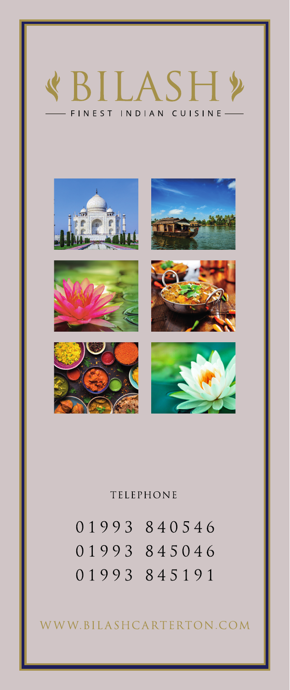



## **TELEPHONE**

01993 840546 01993 845046 01993 845191

WWW.BILASHCARTERTON.COM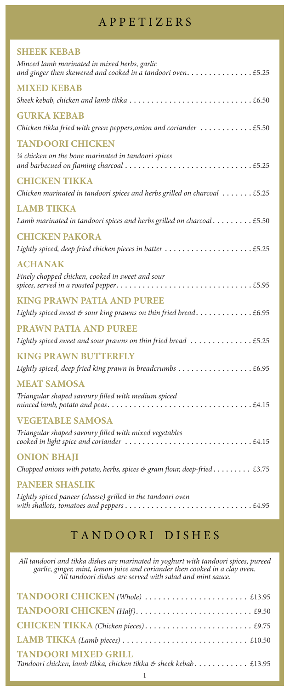## A P P E T I Z E R S

| <b>SHEEK KEBAB</b>                                                                          |
|---------------------------------------------------------------------------------------------|
| Minced lamb marinated in mixed herbs, garlic                                                |
| <b>MIXED KEBAB</b>                                                                          |
|                                                                                             |
| <b>GURKA KEBAB</b>                                                                          |
| Chicken tikka fried with green peppers, onion and coriander $\dots\dots\dots\dots\dots$     |
| <b>TANDOORI CHICKEN</b>                                                                     |
| 1/4 chicken on the bone marinated in tandoori spices                                        |
| <b>CHICKEN TIKKA</b>                                                                        |
| Chicken marinated in tandoori spices and herbs grilled on charcoal $\dots \dots$ . £5.25    |
| <b>LAMB TIKKA</b>                                                                           |
| Lamb marinated in tandoori spices and herbs grilled on charcoal $\dots \dots \dots$ . £5.50 |
| <b>CHICKEN PAKORA</b>                                                                       |
| Lightly spiced, deep fried chicken pieces in batter  £5.25                                  |
| <b>ACHANAK</b>                                                                              |
| Finely chopped chicken, cooked in sweet and sour                                            |
| <b>KING PRAWN PATIA AND PUREE</b>                                                           |
| Lightly spiced sweet & sour king prawns on thin fried bread £6.95                           |
| <b>PRAWN PATIA AND PUREE</b>                                                                |
| Lightly spiced sweet and sour prawns on thin fried bread                                    |
| <b>KING PRAWN BUTTERFLY</b>                                                                 |
|                                                                                             |
| <b>MEAT SAMOSA</b>                                                                          |
| Triangular shaped savoury filled with medium spiced                                         |
| <b>VEGETABLE SAMOSA</b>                                                                     |
| Triangular shaped savoury filled with mixed vegetables                                      |
| <b>ONION BHAJI</b>                                                                          |
| Chopped onions with potato, herbs, spices & gram flour, deep-fried £3.75                    |
| <b>PANEER SHASLIK</b>                                                                       |
| Lightly spiced paneer (cheese) grilled in the tandoori oven                                 |

# T A N D O O R I D I S H E S

*All tandoori and tikka dishes are marinated in yoghurt with tandoori spices, pureed garlic, ginger, mint, lemon juice and coriander then cooked in a clay oven. All tandoori dishes are served with salad and mint sauce.*

| <b>TANDOORI MIXED GRILL</b><br>Tandoori chicken, lamb tikka, chicken tikka & sheek kebab £13.95 |
|-------------------------------------------------------------------------------------------------|
|                                                                                                 |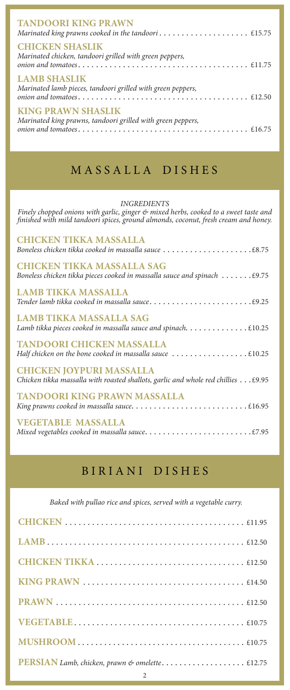| <b>TANDOORI KING PRAWN</b>                                                               |  |
|------------------------------------------------------------------------------------------|--|
| <b>CHICKEN SHASLIK</b><br>Marinated chicken, tandoori grilled with green peppers,        |  |
| <b>LAMB SHASLIK</b><br>Marinated lamb pieces, tandoori grilled with green peppers,       |  |
| <b>KING PRAWN SHASLIK</b><br>Marinated king prawns, tandoori grilled with green peppers, |  |

# M A S S A L L A D I S H E S

*INGREDIENTS*

*Finely chopped onions with garlic, ginger & mixed herbs, cooked to a sweet taste and finished with mild tandoori spices, ground almonds, coconut, fresh cream and honey.*

| <b>CHICKEN TIKKA MASSALLA</b>                                                                                                  |
|--------------------------------------------------------------------------------------------------------------------------------|
| <b>CHICKEN TIKKA MASSALLA SAG</b><br>Boneless chicken tikka pieces cooked in massalla sauce and spinach $\dots \dots$ . £9.75  |
| <b>LAMB TIKKA MASSALLA</b>                                                                                                     |
| LAMB TIKKA MASSALLA SAG                                                                                                        |
| <b>TANDOORI CHICKEN MASSALLA</b>                                                                                               |
| <b>CHICKEN JOYPURI MASSALLA</b><br>Chicken tikka massalla with roasted shallots, garlic and whole red chillies $\dots$ . £9.95 |
| <b>TANDOORI KING PRAWN MASSALLA</b>                                                                                            |
| <b>VEGETABLE MASSALLA</b>                                                                                                      |

## BIRIANI DISHES

*Baked with pullao rice and spices, served with a vegetable curry.*

| PERSIAN Lamb, chicken, prawn & omelette £12.75 |
|------------------------------------------------|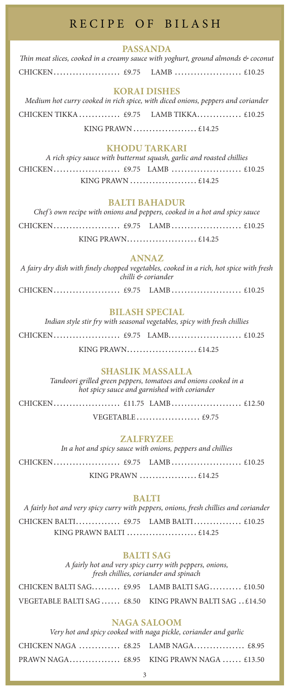## RECIPE OF BILASH

#### **PASSANDA**

*Thin meat slices, cooked in a creamy sauce with yoghurt, ground almonds & coconut* CHICKEN...................... £9.75 LAMB...................... £10.25

## **KORAI DISHES**

*Medium hot curry cooked in rich spice, with diced onions, peppers and coriander*  CHICKEN TIKKA.............. £9.75 LAMB TIKKA............... £10.25 KING PRAWN..................... £14.25

## **KHODU TARKARI**

*A rich spicy sauce with butternut squash, garlic and roasted chillies* CHICKEN...................... £9.75 LAMB ....................... £10.25 KING PRAWN ....................... £14.25

#### **BALTI BAHADUR**

|  | Chef's own recipe with onions and peppers, cooked in a hot and spicy sauce |  |
|--|----------------------------------------------------------------------------|--|
|  |                                                                            |  |
|  |                                                                            |  |

#### **ANNAZ**

*A fairy dry dish with finely chopped vegetables, cooked in a rich, hot spice with fresh chilli & coriander*

CHICKEN...................... £9.75 LAMB....................... £10.25

#### **BILASH SPECIAL**

*Indian style stir fry with seasonal vegetables, spicy with fresh chillies* CHICKEN...................... £9.75 LAMB....................... £10.25 KING PRAWN............................ £14.25

#### **SHASLIK MASSALLA**

*Tandoori grilled green peppers, tomatoes and onions cooked in a hot spicy sauce and garnished with coriander*

CHICKEN...................... £11.75 LAMB....................... £12.50

VEGETABLE..................... £9.75

## **ZALFRYZEE**

*In a hot and spicy sauce with onions, peppers and chillies* CHICKEN...................... £9.75 LAMB....................... £10.25 KING PRAWN .................... £14.25

#### **BALTI**

*A fairly hot and very spicy curry with peppers, onions, fresh chillies and coriander* CHICKEN BALTI............... £9.75 LAMB BALTI................ £10.25 KING PRAWN BALTI....................... £14.25

#### **BALTI SAG**

*A fairly hot and very spicy curry with peppers, onions, fresh chillies, coriander and spinach*

| CHICKEN BALTI SAG £9.95 LAMB BALTI SAG £10.50          |  |  |
|--------------------------------------------------------|--|--|
| VEGETABLE BALTI SAG  £8.50 KING PRAWN BALTI SAG £14.50 |  |  |

#### **NAGA SALOOM**

*Very hot and spicy cooked with naga pickle, coriander and garlic*

| CHICKEN NAGA  £8.25 LAMB NAGA £8.95     |  |  |
|-----------------------------------------|--|--|
| PRAWN NAGA £8.95 KING PRAWN NAGA £13.50 |  |  |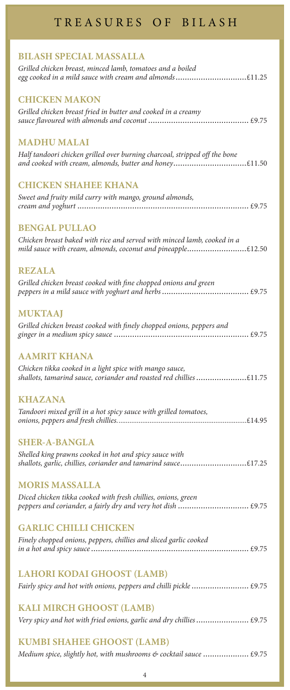## T R E A S U R E S O F B I L A S H

## **BILASH SPECIAL MASSALLA**

| Grilled chicken breast, minced lamb, tomatoes and a boiled<br>egg cooked in a mild sauce with cream and almonds£11.25                  |
|----------------------------------------------------------------------------------------------------------------------------------------|
| <b>CHICKEN MAKON</b>                                                                                                                   |
| Grilled chicken breast fried in butter and cooked in a creamy                                                                          |
| <b>MADHU MALAI</b>                                                                                                                     |
| Half tandoori chicken grilled over burning charcoal, stripped off the bone<br>and cooked with cream, almonds, butter and honey£11.50   |
| <b>CHICKEN SHAHEE KHANA</b>                                                                                                            |
| Sweet and fruity mild curry with mango, ground almonds,                                                                                |
| <b>BENGAL PULLAO</b>                                                                                                                   |
| Chicken breast baked with rice and served with minced lamb, cooked in a<br>mild sauce with cream, almonds, coconut and pineapple£12.50 |
| <b>REZALA</b>                                                                                                                          |
| Grilled chicken breast cooked with fine chopped onions and green                                                                       |
| <b>MUKTAAJ</b>                                                                                                                         |
| Grilled chicken breast cooked with finely chopped onions, peppers and                                                                  |
| <b>AAMRIT KHANA</b>                                                                                                                    |
| Chicken tikka cooked in a light spice with mango sauce,<br>shallots, tamarind sauce, coriander and roasted red chillies £11.75         |
| KHAZANA                                                                                                                                |
| Tandoori mixed grill in a hot spicy sauce with grilled tomatoes,                                                                       |
| <b>SHER-A-BANGLA</b>                                                                                                                   |
| Shelled king prawns cooked in hot and spicy sauce with<br>shallots, garlic, chillies, coriander and tamarind sauce£17.25               |
| <b>MORIS MASSALLA</b>                                                                                                                  |
| Diced chicken tikka cooked with fresh chillies, onions, green                                                                          |
| <b>GARLIC CHILLI CHICKEN</b>                                                                                                           |
| Finely chopped onions, peppers, chillies and sliced garlic cooked                                                                      |
| <b>LAHORI KODAI GHOOST (LAMB)</b>                                                                                                      |
| Fairly spicy and hot with onions, peppers and chilli pickle  £9.75                                                                     |
| <b>KALI MIRCH GHOOST (LAMB)</b>                                                                                                        |
| Very spicy and hot with fried onions, garlic and dry chillies  £9.75                                                                   |
| <b>KUMBI SHAHEE GHOOST (LAMB)</b>                                                                                                      |
|                                                                                                                                        |

*Medium spice, slightly hot, with mushrooms & cocktail sauce.....................* £9.75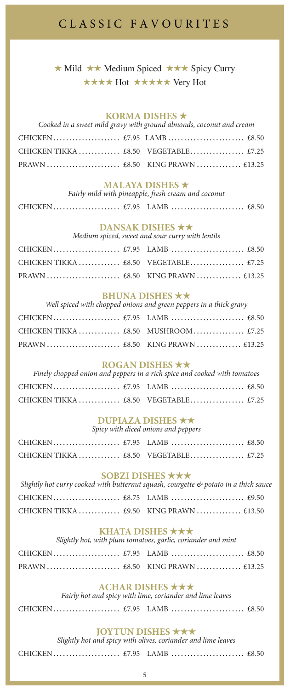## CLASSIC FAVOURITES

 $\star$  Mild  $\star \star$  Medium Spiced  $\star \star \star$  Spicy Curry \*\*\*\* Hot \*\*\*\*\* Very Hot

#### **KORMA DISHES**  $\star$

| Cooked in a sweet mild gravy with ground almonds, coconut and cream |  |  |  |
|---------------------------------------------------------------------|--|--|--|
|                                                                     |  |  |  |
|                                                                     |  |  |  |
|                                                                     |  |  |  |

| <b>MALAYA DISHES <math>\star</math></b>             |  |
|-----------------------------------------------------|--|
| Fairly mild with pineapple, fresh cream and coconut |  |

|--|--|--|--|

#### **DANSAK DISHES**  $\star\star$

*Medium spiced, sweet and sour curry with lentils*

| <b>BHUNA DISHES <math>\star \star</math></b><br>Well spiced with chopped onions and green peppers in a thick gravy |  |  |  |
|--------------------------------------------------------------------------------------------------------------------|--|--|--|
|                                                                                                                    |  |  |  |
|                                                                                                                    |  |  |  |
|                                                                                                                    |  |  |  |

## **ROGAN DISHES \*\***

|  | Finely chopped onion and peppers in a rich spice and cooked with tomatoes |  |
|--|---------------------------------------------------------------------------|--|
|  |                                                                           |  |
|  |                                                                           |  |

#### **DUPIAZA DISHES**  $\star\star$ *Spicy with diced onions and peppers*

## **SOBZI DISHES** \*\*\*

| Slightly hot curry cooked with butternut squash, courgette $\mathfrak{G}$ potato in a thick sauce |  |  |
|---------------------------------------------------------------------------------------------------|--|--|
|                                                                                                   |  |  |
|                                                                                                   |  |  |

#### **KHATA DISHES \*\*\***

*Slightly hot, with plum tomatoes, garlic, coriander and mint*

| ACHAR DISHES $\star \star \star$<br>Fairly hot and spicy with lime, coriander and lime leaves |  |  |  |
|-----------------------------------------------------------------------------------------------|--|--|--|
|                                                                                               |  |  |  |

#### **JOYTUN DISHES**  $\star \star \star$

*Slightly hot and spicy with olives, coriander and lime leaves*

CHICKEN...................... £7.95 LAMB ........................ £8.50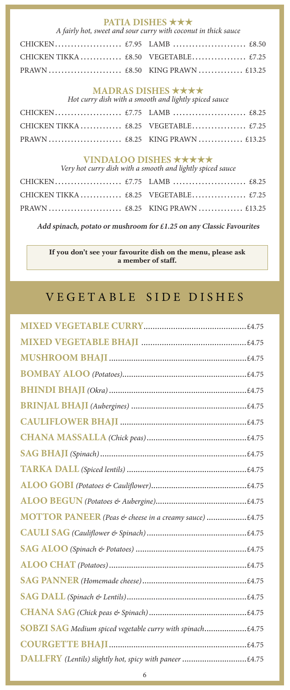**PATIA DISHES ★★★**<br>*A fairly hot, sweet and sour curry with coconut in thick sauce* 

## **MADRAS DISHES \*\*\*\***

*Hot curry dish with a smooth and lightly spiced sauce*

# **VINDALOO DISHES ★★★★★**<br>*Very hot curry dish with a smooth and lightly spiced sauce*

| very not curry aisn with a smooth and ugnity spiced sauce |  |  |  |
|-----------------------------------------------------------|--|--|--|
|                                                           |  |  |  |
|                                                           |  |  |  |
|                                                           |  |  |  |

**Add spinach, potato or mushroom for £1.25 on any Classic Favourites**

**If you don't see your favourite dish on the menu, please ask a member of staff.** 

## VEGETABLE SIDE DISHES

| MOTTOR PANEER (Peas & cheese in a creamy sauce) £4.75     |
|-----------------------------------------------------------|
|                                                           |
|                                                           |
|                                                           |
|                                                           |
|                                                           |
|                                                           |
| SOBZI SAG Medium spiced vegetable curry with spinach£4.75 |
|                                                           |
| DALLFRY (Lentils) slightly hot, spicy with paneer £4.75   |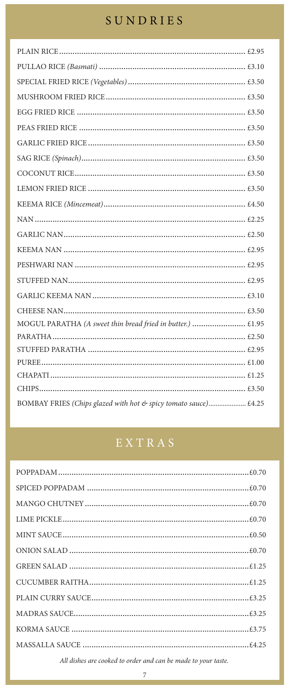# SUNDRIES

| MOGUL PARATHA (A sweet thin bread fried in butter.)  £1.95      |  |
|-----------------------------------------------------------------|--|
|                                                                 |  |
|                                                                 |  |
|                                                                 |  |
|                                                                 |  |
|                                                                 |  |
| BOMBAY FRIES (Chips glazed with hot & spicy tomato sauce) £4.25 |  |

| All dishes are cooked to order and can be made to your taste. |  |
|---------------------------------------------------------------|--|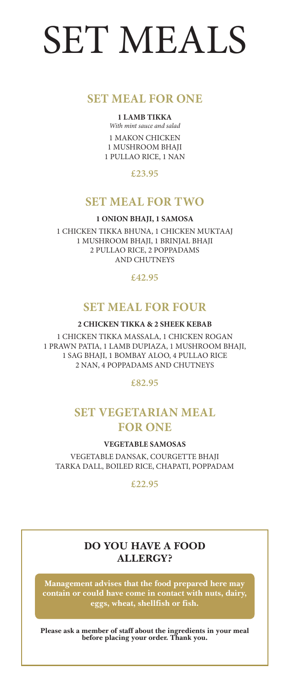# SET MEALS

## **SET MEAL FOR ONE**

#### **1 LAMB TIKKA**

*With mint sauce and salad* 1 MAKON CHICKEN 1 MUSHROOM BHAJI 1 PULLAO RICE, 1 NAN

**£23.95**

## **SET MEAL FOR TWO**

**1 ONION BHAJI, 1 SAMOSA**

1 CHICKEN TIKKA BHUNA, 1 CHICKEN MUKTAAJ 1 MUSHROOM BHAJI, 1 BRINJAL BHAJI 2 PULLAO RICE, 2 POPPADAMS AND CHUTNEYS

**£42.95**

## **SET MEAL FOR FOUR**

**2 CHICKEN TIKKA & 2 SHEEK KEBAB**

1 CHICKEN TIKKA MASSALA, 1 CHICKEN ROGAN 1 PRAWN PATIA, 1 LAMB DUPIAZA, 1 MUSHROOM BHAJI, 1 SAG BHAJI, 1 BOMBAY ALOO, 4 PULLAO RICE 2 NAN, 4 POPPADAMS AND CHUTNEYS

**£82.95**

## **SET VEGETARIAN MEAL FOR ONE**

**VEGETABLE SAMOSAS**

VEGETABLE DANSAK, COURGETTE BHAJI TARKA DALL, BOILED RICE, CHAPATI, POPPADAM

**£22.95**

## **DO YOU HAVE A FOOD ALLERGY?**

**Management advises that the food prepared here may contain or could have come in contact with nuts, dairy, eggs, wheat, shellfish or fish.**

**Please ask a member of staff about the ingredients in your meal before placing your order. Thank you.**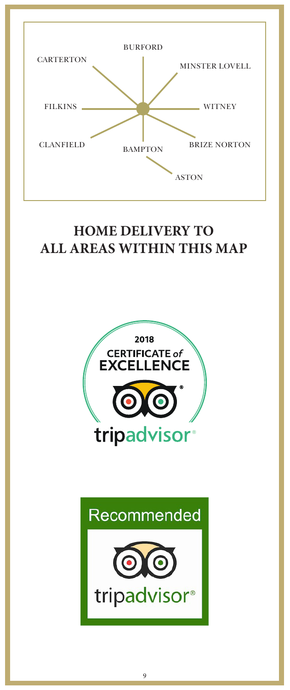

## **HOME DELIVERY TO** ALL AREAS WITHIN THE MAP AND THE MAP AND THE MAP AND THE MAP AND THE MAP AND THE MAP AND THE MAP AND THE MAP AND THE MAP AND THE MAP AND THE MAP AND THE MAP AND THE MAP AND THE MAP AND THE MAP AND THE MAP AND THE MAP AND T **ALL AREAS WITHIN THIS MAP**



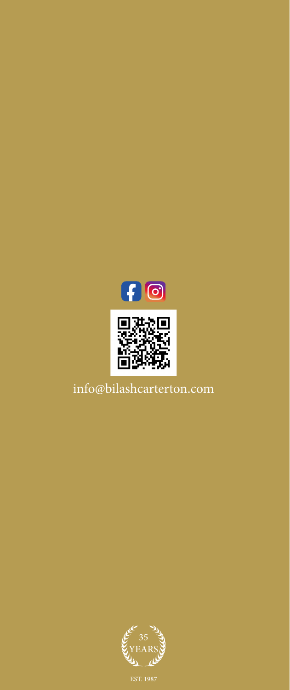



info@bilashcarterton.com